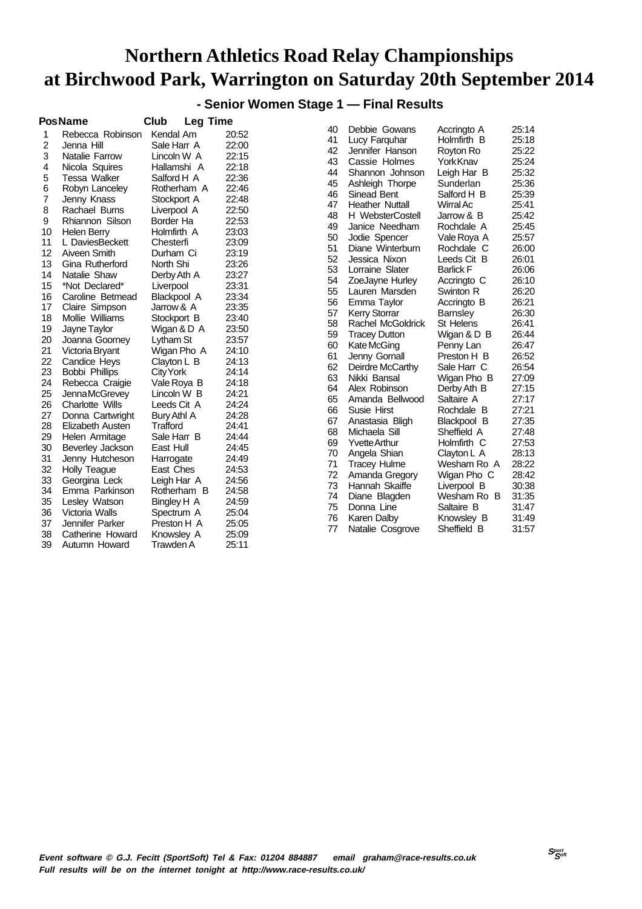**- Senior Women Stage 1 — Final Results**

|                | <b>PosName</b>      | Club<br><b>Leg Time</b> |       |          |
|----------------|---------------------|-------------------------|-------|----------|
| 1              | Rebecca Robinson    | Kendal Am               | 20:52 | 40       |
| $\overline{c}$ | Jenna Hill          | Sale Harr A             | 22:00 | 41       |
| 3              | Natalie Farrow      | Lincoln W A             | 22:15 | 42       |
| 4              | Nicola Squires      | Hallamshi A             | 22:18 | 43       |
| 5              | <b>Tessa Walker</b> | Salford H A             | 22:36 | 44       |
| 6              | Robyn Lanceley      | Rotherham A             | 22:46 | 45       |
| 7              | Jenny Knass         | Stockport A             | 22:48 | 46<br>47 |
| 8              | Rachael Burns       | Liverpool A             | 22:50 |          |
| 9              | Rhiannon Silson     | Border Ha               | 22:53 | 48<br>49 |
| 10             | <b>Helen Berry</b>  | Holmfirth A             | 23:03 |          |
| 11             | L DaviesBeckett     | Chesterfi               | 23:09 | 50       |
| 12             | Aiveen Smith        | Durham Ci               | 23:19 | 51<br>52 |
| 13             | Gina Rutherford     | North Shi               | 23:26 | 53       |
| 14             | Natalie Shaw        | Derby Ath A             | 23:27 | 54       |
| 15             | *Not Declared*      | Liverpool               | 23:31 | 55       |
| 16             | Caroline Betmead    | Blackpool A             | 23:34 | 56       |
| 17             | Claire Simpson      | Jarrow & A              | 23:35 | 57       |
| 18             | Mollie Williams     | Stockport B             | 23:40 | 58       |
| 19             | Jayne Taylor        | Wigan & D A             | 23:50 | 59       |
| 20             | Joanna Goorney      | Lytham St               | 23:57 | 60       |
| 21             | Victoria Bryant     | Wigan Pho A             | 24:10 | 61       |
| 22             | Candice Heys        | Clayton L B             | 24:13 | 62       |
| 23             | Bobbi Phillips      | City York               | 24:14 | 63       |
| 24             | Rebecca Craigie     | Vale Roya B             | 24:18 | 64       |
| 25             | Jenna McGrevey      | Lincoln W B             | 24:21 | 65       |
| 26             | Charlotte Wills     | Leeds Cit A             | 24:24 | 66       |
| 27             | Donna Cartwright    | Bury Athl A             | 24:28 | 67       |
| 28             | Elizabeth Austen    | Trafford                | 24:41 | 68       |
| 29             | Helen Armitage      | Sale Harr B             | 24:44 | 69       |
| 30             | Beverley Jackson    | East Hull               | 24:45 | 70       |
| 31             | Jenny Hutcheson     | Harrogate               | 24:49 | 71       |
| 32             | <b>Holly Teague</b> | East Ches               | 24:53 | 72       |
| 33             | Georgina Leck       | Leigh Har A             | 24:56 | 73       |
| 34             | Emma Parkinson      | Rotherham B             | 24:58 | 74       |
| 35             | Lesley Watson       | Bingley H A             | 24:59 | 75       |
| 36             | Victoria Walls      | Spectrum A              | 25:04 | 76       |
| 37             | Jennifer Parker     | Preston H A             | 25:05 | 77       |
| 38             | Catherine Howard    | Knowsley A              | 25:09 |          |
| 39             | Autumn Howard       | Trawden A               | 25:11 |          |

| 40 | Debbie Gowans           | Accringto A      | 25:14 |
|----|-------------------------|------------------|-------|
| 41 | Lucy Farquhar           | Holmfirth B      | 25:18 |
| 42 | Jennifer Hanson         | Royton Ro        | 25:22 |
| 43 | Cassie Holmes           | YorkKnav         | 25:24 |
| 44 | Shannon Johnson         | Leigh Har B      | 25:32 |
| 45 | Ashleigh Thorpe         | Sunderlan        | 25:36 |
| 46 | Sinead Bent             | Salford H B      | 25:39 |
| 47 | <b>Heather Nuttall</b>  | Wirral Ac        | 25:41 |
| 48 | <b>H</b> WebsterCostell | Jarrow & B       | 25:42 |
| 49 | Janice Needham          | Rochdale A       | 25:45 |
| 50 | Jodie Spencer           | Vale Roya A      | 25:57 |
| 51 | Diane Winterburn        | Rochdale C       | 26:00 |
| 52 | Jessica Nixon           | Leeds Cit B      | 26:01 |
| 53 | Lorraine Slater         | <b>Barlick F</b> | 26:06 |
| 54 | ZoeJayne Hurley         | Accringto C      | 26:10 |
| 55 | Lauren Marsden          | Swinton R        | 26:20 |
| 56 | Emma Taylor             | Accringto B      | 26:21 |
| 57 | <b>Kerry Storrar</b>    | Barnsley         | 26:30 |
| 58 | Rachel McGoldrick       | St Helens        | 26:41 |
| 59 | <b>Tracey Dutton</b>    | Wigan & D B      | 26:44 |
| 60 | Kate McGing             | Penny Lan        | 26:47 |
| 61 | Jenny Gornall           | Preston H B      | 26:52 |
| 62 | Deirdre McCarthy        | Sale Harr C      | 26:54 |
| 63 | Nikki Bansal            | Wigan Pho B      | 27:09 |
| 64 | Alex Robinson           | Derby Ath B      | 27:15 |
| 65 | Amanda Bellwood         | Saltaire A       | 27:17 |
| 66 | Susie Hirst             | Rochdale B       | 27:21 |
| 67 | Anastasia Bligh         | Blackpool B      | 27:35 |
| 68 | Michaela Sill           | Sheffield A      | 27:48 |
| 69 | <b>Yvette Arthur</b>    | Holmfirth C      | 27:53 |
| 70 | Angela Shian            | Clayton L A      | 28:13 |
| 71 | Tracey Hulme            | Wesham Ro A      | 28:22 |
| 72 | Amanda Gregory          | Wigan Pho C      | 28:42 |
| 73 | Hannah Skaiffe          | Liverpool B      | 30:38 |
| 74 | Diane Blagden           | Wesham Ro B      | 31:35 |
| 75 | Donna Line              | Saltaire B       | 31:47 |
| 76 | Karen Dalby             | Knowsley B       | 31:49 |
| 77 | Natalie Cosgrove        | Sheffield B      | 31:57 |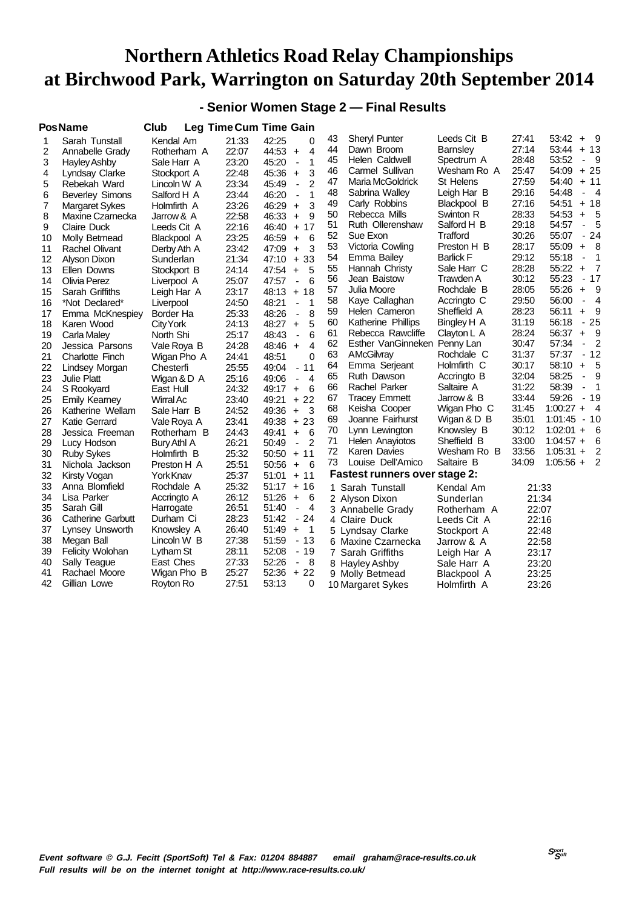### **- Senior Women Stage 2 — Final Results**

| Sarah Tunstall           | Kendal Am                                                                                                                                                                 | 21:33                                                                                                                                   | 42:25<br>0                                          | 43                                                                | <b>Sheryl Punter</b>                                                                                           |                                                                                                                                                                                                                                                                                                                                                                   | 27:41                                                                                                                                                                                                                                                                                                                      | - 9<br>53:42<br>$+$                                                                                                                                                                                                                                                                                            |
|--------------------------|---------------------------------------------------------------------------------------------------------------------------------------------------------------------------|-----------------------------------------------------------------------------------------------------------------------------------------|-----------------------------------------------------|-------------------------------------------------------------------|----------------------------------------------------------------------------------------------------------------|-------------------------------------------------------------------------------------------------------------------------------------------------------------------------------------------------------------------------------------------------------------------------------------------------------------------------------------------------------------------|----------------------------------------------------------------------------------------------------------------------------------------------------------------------------------------------------------------------------------------------------------------------------------------------------------------------------|----------------------------------------------------------------------------------------------------------------------------------------------------------------------------------------------------------------------------------------------------------------------------------------------------------------|
| Annabelle Grady          | Rotherham A                                                                                                                                                               | 22:07                                                                                                                                   | 44:53<br>4<br>$\ddot{}$                             |                                                                   | Dawn Broom                                                                                                     | <b>Barnsley</b>                                                                                                                                                                                                                                                                                                                                                   |                                                                                                                                                                                                                                                                                                                            | 53:44<br>$+13$                                                                                                                                                                                                                                                                                                 |
| <b>Hayley Ashby</b>      | Sale Harr A                                                                                                                                                               | 23:20                                                                                                                                   | 1<br>45:20<br>$\overline{\phantom{a}}$              |                                                                   |                                                                                                                |                                                                                                                                                                                                                                                                                                                                                                   |                                                                                                                                                                                                                                                                                                                            | 53:52<br>- 9                                                                                                                                                                                                                                                                                                   |
|                          |                                                                                                                                                                           | 22:48                                                                                                                                   | 3<br>$\ddot{}$                                      |                                                                   |                                                                                                                | Wesham Ro A                                                                                                                                                                                                                                                                                                                                                       |                                                                                                                                                                                                                                                                                                                            | $+25$<br>54:09                                                                                                                                                                                                                                                                                                 |
| Rebekah Ward             | Lincoln W A                                                                                                                                                               | 23:34                                                                                                                                   | $\mathfrak{p}$<br>45:49<br>$\overline{\phantom{a}}$ | 47                                                                | Maria McGoldrick                                                                                               | St Helens                                                                                                                                                                                                                                                                                                                                                         |                                                                                                                                                                                                                                                                                                                            | $+ 11$<br>54:40                                                                                                                                                                                                                                                                                                |
|                          | Salford H A                                                                                                                                                               | 23:44                                                                                                                                   | 46:20<br>1<br>ä,                                    |                                                                   | Sabrina Walley                                                                                                 | Leigh Har B                                                                                                                                                                                                                                                                                                                                                       |                                                                                                                                                                                                                                                                                                                            | 54:48<br>$\overline{4}$<br>$\overline{\phantom{a}}$                                                                                                                                                                                                                                                            |
| <b>Margaret Sykes</b>    | Holmfirth A                                                                                                                                                               | 23:26                                                                                                                                   | 46:29<br>3<br>$\ddot{}$                             |                                                                   |                                                                                                                | Blackpool B                                                                                                                                                                                                                                                                                                                                                       |                                                                                                                                                                                                                                                                                                                            | $+18$<br>54:51                                                                                                                                                                                                                                                                                                 |
| Maxine Czarnecka         | Jarrow & A                                                                                                                                                                | 22:58                                                                                                                                   | 46:33<br>9<br>$\ddot{}$                             | 50                                                                | Rebecca Mills                                                                                                  | Swinton R                                                                                                                                                                                                                                                                                                                                                         |                                                                                                                                                                                                                                                                                                                            | 54:53<br>5<br>$+$                                                                                                                                                                                                                                                                                              |
| <b>Claire Duck</b>       | Leeds Cit A                                                                                                                                                               | 22:16                                                                                                                                   | 46:40<br>17<br>$+$                                  |                                                                   | Ruth Ollerenshaw                                                                                               | Salford H B                                                                                                                                                                                                                                                                                                                                                       |                                                                                                                                                                                                                                                                                                                            | 54:57<br>5<br>$\overline{\phantom{a}}$                                                                                                                                                                                                                                                                         |
|                          | Blackpool A                                                                                                                                                               | 23:25                                                                                                                                   | 6<br>46:59<br>$\ddot{}$                             |                                                                   |                                                                                                                |                                                                                                                                                                                                                                                                                                                                                                   |                                                                                                                                                                                                                                                                                                                            | 24<br>55:07<br>$\overline{\phantom{a}}$                                                                                                                                                                                                                                                                        |
| <b>Rachel Olivant</b>    | Derby Ath A                                                                                                                                                               | 23:42                                                                                                                                   | 47:09<br>3<br>$\ddot{}$                             |                                                                   | Victoria Cowling                                                                                               | Preston H B                                                                                                                                                                                                                                                                                                                                                       | 28:17                                                                                                                                                                                                                                                                                                                      | 8<br>55:09<br>$\ddot{}$                                                                                                                                                                                                                                                                                        |
| Alyson Dixon             | Sunderlan                                                                                                                                                                 | 21:34                                                                                                                                   | 33<br>47:10<br>$+$                                  |                                                                   | Emma Bailey                                                                                                    | <b>Barlick F</b>                                                                                                                                                                                                                                                                                                                                                  |                                                                                                                                                                                                                                                                                                                            | 55:18<br>1<br>$\blacksquare$                                                                                                                                                                                                                                                                                   |
|                          |                                                                                                                                                                           | 24:14                                                                                                                                   | 47:54<br>5<br>$\ddot{}$                             |                                                                   | Hannah Christy                                                                                                 | Sale Harr C                                                                                                                                                                                                                                                                                                                                                       |                                                                                                                                                                                                                                                                                                                            | 55:22<br>7<br>$\ddot{}$                                                                                                                                                                                                                                                                                        |
| Olivia Perez             | Liverpool A                                                                                                                                                               | 25:07                                                                                                                                   | 6<br>47:57<br>$\blacksquare$                        | 56                                                                | Jean Baistow                                                                                                   | Trawden A                                                                                                                                                                                                                                                                                                                                                         |                                                                                                                                                                                                                                                                                                                            | 55:23<br>$-17$                                                                                                                                                                                                                                                                                                 |
| Sarah Griffiths          |                                                                                                                                                                           | 23:17                                                                                                                                   | $+18$                                               |                                                                   | Julia Moore                                                                                                    | Rochdale B                                                                                                                                                                                                                                                                                                                                                        |                                                                                                                                                                                                                                                                                                                            | 55:26<br>9<br>$\ddot{}$                                                                                                                                                                                                                                                                                        |
| *Not Declared*           |                                                                                                                                                                           | 24:50                                                                                                                                   | $\mathbf 1$<br>48:21<br>$\blacksquare$              | 58                                                                | Kaye Callaghan                                                                                                 | Accringto C                                                                                                                                                                                                                                                                                                                                                       | 29:50                                                                                                                                                                                                                                                                                                                      | 56:00<br>4<br>$\overline{\phantom{a}}$                                                                                                                                                                                                                                                                         |
|                          | Border Ha                                                                                                                                                                 | 25:33                                                                                                                                   | 48:26<br>8<br>$\blacksquare$                        | 59                                                                | Helen Cameron                                                                                                  | Sheffield A                                                                                                                                                                                                                                                                                                                                                       |                                                                                                                                                                                                                                                                                                                            | 56:11<br>9<br>$\ddot{}$                                                                                                                                                                                                                                                                                        |
| Karen Wood               |                                                                                                                                                                           |                                                                                                                                         | 5<br>$\ddot{}$                                      | 60                                                                | Katherine Phillips                                                                                             | Bingley H A                                                                                                                                                                                                                                                                                                                                                       | 31:19                                                                                                                                                                                                                                                                                                                      | 56:18<br>25<br>$\blacksquare$                                                                                                                                                                                                                                                                                  |
|                          | North Shi                                                                                                                                                                 |                                                                                                                                         | 6<br>$\blacksquare$                                 | 61                                                                | Rebecca Rawcliffe                                                                                              | Clayton L A                                                                                                                                                                                                                                                                                                                                                       | 28:24                                                                                                                                                                                                                                                                                                                      | 9<br>56:37<br>$\ddot{}$                                                                                                                                                                                                                                                                                        |
| Jessica Parsons          |                                                                                                                                                                           | 24:28                                                                                                                                   | 48:46<br>$\overline{4}$<br>$\ddot{}$                | 62                                                                |                                                                                                                |                                                                                                                                                                                                                                                                                                                                                                   | 30:47                                                                                                                                                                                                                                                                                                                      | 57:34<br>2<br>$\frac{1}{2}$                                                                                                                                                                                                                                                                                    |
| <b>Charlotte Finch</b>   |                                                                                                                                                                           | 24:41                                                                                                                                   | 48:51<br>$\Omega$                                   | 63                                                                | AMcGilvray                                                                                                     | Rochdale C                                                                                                                                                                                                                                                                                                                                                        |                                                                                                                                                                                                                                                                                                                            | 57:37<br>$-12$                                                                                                                                                                                                                                                                                                 |
|                          | Chesterfi                                                                                                                                                                 |                                                                                                                                         | 11<br>49:04<br>$\overline{\phantom{a}}$             | 64                                                                | Emma Serjeant                                                                                                  | Holmfirth C                                                                                                                                                                                                                                                                                                                                                       | 30:17                                                                                                                                                                                                                                                                                                                      | 58:10<br>5<br>$\ddot{}$                                                                                                                                                                                                                                                                                        |
| <b>Julie Platt</b>       | Wigan & D A                                                                                                                                                               | 25:16                                                                                                                                   | $\overline{4}$<br>49:06<br>$\blacksquare$           |                                                                   |                                                                                                                | Accringto B                                                                                                                                                                                                                                                                                                                                                       |                                                                                                                                                                                                                                                                                                                            | 58:25<br>9<br>$\blacksquare$                                                                                                                                                                                                                                                                                   |
| S Rookyard               | East Hull                                                                                                                                                                 | 24:32                                                                                                                                   | 49:17<br>6<br>$+$                                   |                                                                   |                                                                                                                | Saltaire A                                                                                                                                                                                                                                                                                                                                                        |                                                                                                                                                                                                                                                                                                                            | 58:39<br>1<br>$\blacksquare$                                                                                                                                                                                                                                                                                   |
| <b>Emily Kearney</b>     | Wirral Ac                                                                                                                                                                 | 23:40                                                                                                                                   | 49:21<br>$+22$                                      |                                                                   |                                                                                                                |                                                                                                                                                                                                                                                                                                                                                                   |                                                                                                                                                                                                                                                                                                                            | 59:26<br>$-19$                                                                                                                                                                                                                                                                                                 |
| Katherine Wellam         | Sale Harr B                                                                                                                                                               | 24:52                                                                                                                                   | 49:36<br>$\ddot{}$<br>-3                            |                                                                   |                                                                                                                |                                                                                                                                                                                                                                                                                                                                                                   |                                                                                                                                                                                                                                                                                                                            | $1:00:27 +$<br>$\overline{4}$                                                                                                                                                                                                                                                                                  |
| Katie Gerrard            |                                                                                                                                                                           | 23:41                                                                                                                                   | 49:38<br>23<br>$+$                                  |                                                                   | Joanne Fairhurst                                                                                               |                                                                                                                                                                                                                                                                                                                                                                   |                                                                                                                                                                                                                                                                                                                            | $1:01:45 - 10$                                                                                                                                                                                                                                                                                                 |
| Jessica Freeman          | Rotherham B                                                                                                                                                               | 24:43                                                                                                                                   | 6<br>49:41<br>$\ddot{}$                             |                                                                   | Lynn Lewington                                                                                                 | Knowsley B                                                                                                                                                                                                                                                                                                                                                        |                                                                                                                                                                                                                                                                                                                            | $1:02:01 +$<br>6                                                                                                                                                                                                                                                                                               |
|                          | Bury Athl A                                                                                                                                                               | 26:21                                                                                                                                   | $\overline{2}$<br>50:49<br>$\blacksquare$           |                                                                   | Helen Anayiotos                                                                                                |                                                                                                                                                                                                                                                                                                                                                                   |                                                                                                                                                                                                                                                                                                                            | 6<br>$1:04:57 +$                                                                                                                                                                                                                                                                                               |
| <b>Ruby Sykes</b>        | Holmfirth B                                                                                                                                                               | 25:32                                                                                                                                   | 50:50<br>$+11$                                      |                                                                   | Karen Davies                                                                                                   |                                                                                                                                                                                                                                                                                                                                                                   |                                                                                                                                                                                                                                                                                                                            | $1:05:31 +$<br>2                                                                                                                                                                                                                                                                                               |
| Nichola Jackson          | Preston H A                                                                                                                                                               | 25:51                                                                                                                                   | - 6<br>50:56<br>$\ddot{}$                           | 73                                                                |                                                                                                                |                                                                                                                                                                                                                                                                                                                                                                   |                                                                                                                                                                                                                                                                                                                            | 2<br>$1:05:56 +$                                                                                                                                                                                                                                                                                               |
| Kirsty Vogan             | YorkKnav                                                                                                                                                                  | 25:37                                                                                                                                   | 51:01<br>$+ 11$                                     |                                                                   |                                                                                                                |                                                                                                                                                                                                                                                                                                                                                                   |                                                                                                                                                                                                                                                                                                                            |                                                                                                                                                                                                                                                                                                                |
| Anna Blomfield           | Rochdale A                                                                                                                                                                | 25:32                                                                                                                                   | $51:17 + 16$                                        |                                                                   |                                                                                                                | Kendal Am                                                                                                                                                                                                                                                                                                                                                         |                                                                                                                                                                                                                                                                                                                            |                                                                                                                                                                                                                                                                                                                |
| Lisa Parker              |                                                                                                                                                                           | 26:12                                                                                                                                   | 51:26<br>$\ddot{}$<br>6                             |                                                                   |                                                                                                                |                                                                                                                                                                                                                                                                                                                                                                   |                                                                                                                                                                                                                                                                                                                            |                                                                                                                                                                                                                                                                                                                |
| Sarah Gill               | Harrogate                                                                                                                                                                 | 26:51                                                                                                                                   | $\overline{4}$<br>51:40<br>$\overline{\phantom{a}}$ |                                                                   |                                                                                                                |                                                                                                                                                                                                                                                                                                                                                                   |                                                                                                                                                                                                                                                                                                                            |                                                                                                                                                                                                                                                                                                                |
| <b>Catherine Garbutt</b> | Durham Ci                                                                                                                                                                 | 28:23                                                                                                                                   | 51:42<br>- 24                                       |                                                                   |                                                                                                                |                                                                                                                                                                                                                                                                                                                                                                   |                                                                                                                                                                                                                                                                                                                            |                                                                                                                                                                                                                                                                                                                |
|                          | Knowsley A                                                                                                                                                                | 26:40                                                                                                                                   | 51:49<br>$\overline{\phantom{1}}$<br>$\ddot{}$      |                                                                   |                                                                                                                |                                                                                                                                                                                                                                                                                                                                                                   |                                                                                                                                                                                                                                                                                                                            |                                                                                                                                                                                                                                                                                                                |
| Megan Ball               | Lincoln W B                                                                                                                                                               | 27:38                                                                                                                                   | 51:59<br>$-13$                                      |                                                                   |                                                                                                                |                                                                                                                                                                                                                                                                                                                                                                   |                                                                                                                                                                                                                                                                                                                            |                                                                                                                                                                                                                                                                                                                |
| <b>Felicity Wolohan</b>  | Lytham St                                                                                                                                                                 | 28:11                                                                                                                                   | 52:08<br>$-19$                                      |                                                                   |                                                                                                                |                                                                                                                                                                                                                                                                                                                                                                   |                                                                                                                                                                                                                                                                                                                            |                                                                                                                                                                                                                                                                                                                |
| <b>Sally Teague</b>      | East Ches                                                                                                                                                                 | 27:33                                                                                                                                   | 52:26<br>- 8<br>$\frac{1}{2}$                       |                                                                   |                                                                                                                |                                                                                                                                                                                                                                                                                                                                                                   |                                                                                                                                                                                                                                                                                                                            |                                                                                                                                                                                                                                                                                                                |
| Rachael Moore            | Wigan Pho B                                                                                                                                                               |                                                                                                                                         | 52:36<br>$+22$                                      |                                                                   |                                                                                                                |                                                                                                                                                                                                                                                                                                                                                                   |                                                                                                                                                                                                                                                                                                                            |                                                                                                                                                                                                                                                                                                                |
| Gillian Lowe             | Royton Ro                                                                                                                                                                 | 27:51                                                                                                                                   | 53:13<br>0                                          |                                                                   |                                                                                                                | Holmfirth A                                                                                                                                                                                                                                                                                                                                                       |                                                                                                                                                                                                                                                                                                                            |                                                                                                                                                                                                                                                                                                                |
|                          | PosName<br>Lyndsay Clarke<br><b>Beverley Simons</b><br>Molly Betmead<br>Ellen Downs<br>Emma McKnespiey<br>Carla Maley<br>Lindsey Morgan<br>Lucy Hodson<br>Lynsey Unsworth | Club<br>Stockport A<br>Stockport B<br>Leigh Har A<br>Liverpool<br>City York<br>Vale Roya B<br>Wigan Pho A<br>Vale Roya A<br>Accringto A | 24:13<br>25:17<br>25:55<br>25:27                    | <b>Leg Time Cum Time Gain</b><br>45:36<br>48:13<br>48:27<br>48:43 | 44<br>45<br>46<br>48<br>49<br>51<br>52<br>53<br>54<br>55<br>57<br>65<br>66<br>67<br>68<br>69<br>70<br>71<br>72 | Helen Caldwell<br>Carmel Sullivan<br>Carly Robbins<br>Sue Exon<br>Ruth Dawson<br>Rachel Parker<br><b>Tracey Emmett</b><br>Keisha Cooper<br>Louise Dell'Amico<br>1 Sarah Tunstall<br>2 Alyson Dixon<br>3 Annabelle Grady<br>4 Claire Duck<br>5 Lyndsay Clarke<br>6 Maxine Czarnecka<br>7 Sarah Griffiths<br>8 Hayley Ashby<br>9 Molly Betmead<br>10 Margaret Sykes | Leeds Cit B<br>Spectrum A<br>Trafford<br>Esther VanGinneken Penny Lan<br>Jarrow & B<br>Wigan Pho C<br>Wigan & D B<br>Sheffield B<br>Wesham Ro B<br>Saltaire B<br><b>Fastest runners over stage 2:</b><br>Sunderlan<br>Rotherham A<br>Leeds Cit A<br>Stockport A<br>Jarrow & A<br>Leigh Har A<br>Sale Harr A<br>Blackpool A | 27:14<br>28:48<br>25:47<br>27:59<br>29:16<br>27:16<br>28:33<br>29:18<br>30:26<br>29:12<br>28:28<br>30:12<br>28:05<br>28:23<br>31:37<br>32:04<br>31:22<br>33:44<br>31:45<br>35:01<br>30:12<br>33:00<br>33:56<br>34:09<br>21:33<br>21:34<br>22:07<br>22:16<br>22:48<br>22:58<br>23:17<br>23:20<br>23:25<br>23:26 |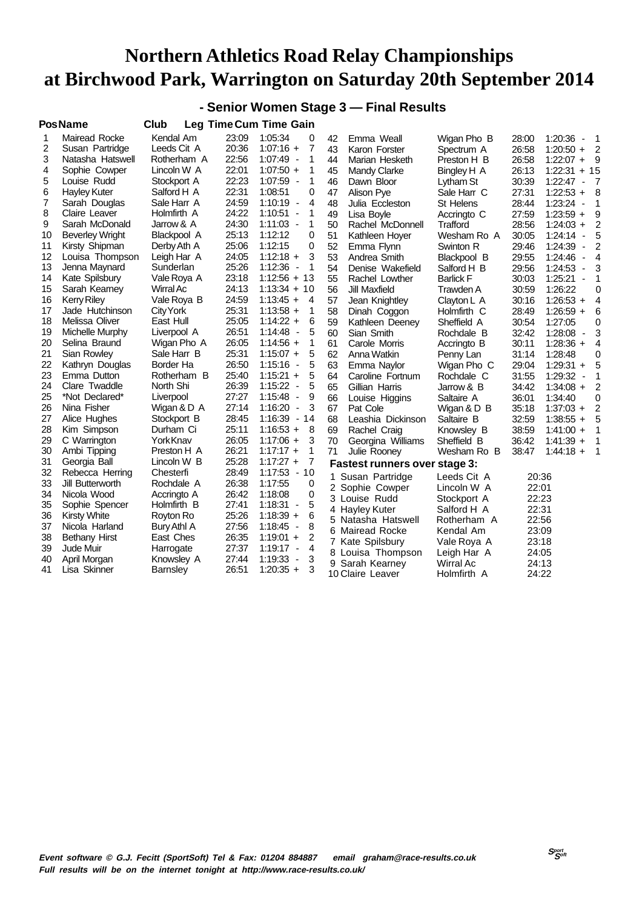### **- Senior Women Stage 3 — Final Results**

|    | <b>PosName</b>         | Club             |       | Leg Time Cum Time Gain                   |    |                                      |                  |       |                                     |                |
|----|------------------------|------------------|-------|------------------------------------------|----|--------------------------------------|------------------|-------|-------------------------------------|----------------|
| 1  | Mairead Rocke          | Kendal Am        | 23:09 | 1:05:34<br>0                             | 42 | Emma Weall                           | Wigan Pho B      | 28:00 | 1:20:36<br>$\blacksquare$           | -1             |
| 2  | Susan Partridge        | Leeds Cit A      | 20:36 | $1:07:16 +$<br>7                         | 43 | Karon Forster                        | Spectrum A       | 26:58 | $1:20:50 +$                         | $\overline{2}$ |
| 3  | Natasha Hatswell       | Rotherham A      | 22:56 | $1:07:49 -$<br>1                         | 44 | Marian Hesketh                       | Preston H B      | 26:58 | $1:22:07 +$                         | 9              |
| 4  | Sophie Cowper          | Lincoln W A      | 22:01 | $1:07:50 +$<br>1                         | 45 | Mandy Clarke                         | Bingley H A      | 26:13 | $1:22:31 + 15$                      |                |
| 5  | Louise Rudd            | Stockport A      | 22:23 | 1:07:59 -<br>1                           | 46 | Dawn Bloor                           | Lytham St        | 30:39 | $1:22:47 -$                         | - 7            |
| 6  | Hayley Kuter           | Salford H A      | 22:31 | 0<br>1:08:51                             | 47 | Alison Pye                           | Sale Harr C      | 27:31 | $1:22:53 +$                         | 8              |
| 7  | Sarah Douglas          | Sale Harr A      | 24:59 | $1:10:19 -$<br>4                         | 48 | Julia Eccleston                      | <b>St Helens</b> | 28:44 | 1:23:24<br>$\overline{\phantom{a}}$ | 1              |
| 8  | Claire Leaver          | Holmfirth A      | 24:22 | 1:10:51<br>1<br>$\overline{\phantom{a}}$ | 49 | Lisa Boyle                           | Accringto C      | 27:59 | $1:23:59 +$                         | 9              |
| 9  | Sarah McDonald         | Jarrow & A       | 24:30 | $1:11:03 -$<br>1                         | 50 | Rachel McDonnell                     | Trafford         | 28:56 | $1:24:03 +$                         | 2              |
| 10 | <b>Beverley Wright</b> | Blackpool A      | 25:13 | 1:12:12<br>0                             | 51 | Kathleen Hoyer                       | Wesham Ro A      | 30:05 | 1:24:14<br>$\overline{\phantom{a}}$ | 5              |
| 11 | Kirsty Shipman         | Derby Ath A      | 25:06 | 1:12:15<br>0                             | 52 | Emma Flynn                           | Swinton R        | 29:46 | 1:24:39<br>$\overline{\phantom{a}}$ | 2              |
| 12 | Louisa Thompson        | Leigh Har A      | 24:05 | 3<br>$1:12:18 +$                         | 53 | Andrea Smith                         | Blackpool B      | 29:55 | 1:24:46<br>$\sim$                   | 4              |
| 13 | Jenna Maynard          | Sunderlan        | 25:26 | 1:12:36<br>1<br>$\overline{\phantom{a}}$ | 54 | Denise Wakefield                     | Salford H B      | 29:56 | 1:24:53<br>$\overline{\phantom{a}}$ | 3              |
| 14 | Kate Spilsbury         | Vale Roya A      | 23:18 | $1:12:56 + 13$                           | 55 | Rachel Lowther                       | <b>Barlick F</b> | 30:03 | 1:25:21<br>$\overline{\phantom{a}}$ | 1              |
| 15 | Sarah Kearney          | Wirral Ac        | 24:13 | $1:13:34 + 10$                           | 56 | Jill Maxfield                        | Trawden A        | 30:59 | 1:26:22                             | 0              |
| 16 | <b>Kerry Riley</b>     | Vale Roya B      | 24:59 | $1:13:45 +$<br>4                         | 57 | Jean Knightley                       | Clayton L A      | 30:16 | $1:26:53 +$                         | 4              |
| 17 | Jade Hutchinson        | City York        | 25:31 | $1:13:58 +$<br>1                         | 58 | Dinah Coggon                         | Holmfirth C      | 28:49 | $1:26:59 +$                         | 6              |
| 18 | Melissa Oliver         | East Hull        | 25:05 | $1:14:22 +$<br>6                         | 59 | Kathleen Deeney                      | Sheffield A      | 30:54 | 1:27:05                             | 0              |
| 19 | Michelle Murphy        | Liverpool A      | 26:51 | $1:14:48 -$<br>5                         | 60 | Sian Smith                           | Rochdale B       | 32:42 | 1:28:08<br>$\blacksquare$           | 3              |
| 20 | Selina Braund          | Wigan Pho A      | 26:05 | $1:14:56 +$<br>1                         | 61 | Carole Morris                        | Accringto B      | 30:11 | $1:28:36 +$                         | 4              |
| 21 | Sian Rowley            | Sale Harr B      | 25:31 | $1:15:07 +$<br>5                         | 62 | Anna Watkin                          | Penny Lan        | 31:14 | 1:28:48                             | 0              |
| 22 | Kathryn Douglas        | Border Ha        | 26:50 | $1:15:16 -$<br>5                         | 63 | Emma Naylor                          | Wigan Pho C      | 29:04 | $1:29:31 +$                         | 5              |
| 23 | Emma Dutton            | Rotherham B      | 25:40 | $1:15:21 +$<br>5                         | 64 | Caroline Fortnum                     | Rochdale C       | 31:55 | $1:29:32 -$                         | 1              |
| 24 | Clare Twaddle          | North Shi        | 26:39 | $1:15:22 -$<br>5                         | 65 | Gillian Harris                       | Jarrow & B       | 34:42 | $1:34:08 +$                         | 2              |
| 25 | *Not Declared*         | Liverpool        | 27:27 | 1:15:48<br>9<br>$\overline{\phantom{a}}$ | 66 | Louise Higgins                       | Saltaire A       | 36:01 | 1:34:40                             | 0              |
| 26 | Nina Fisher            | Wigan & D A      | 27:14 | 1:16:20<br>3<br>$\overline{\phantom{a}}$ | 67 | Pat Cole                             | Wigan & D B      | 35:18 | $1:37:03 +$                         | 2              |
| 27 | Alice Hughes           | Stockport B      | 28:45 | $1:16:39 - 14$                           | 68 | Leashia Dickinson                    | Saltaire B       | 32:59 | $1:38:55 +$                         | 5              |
| 28 | Kim Simpson            | Durham Ci        | 25:11 | $1:16:53 +$<br>8                         | 69 | Rachel Craig                         | Knowsley B       | 38:59 | $1:41:00 +$                         | 1              |
| 29 | C Warrington           | <b>York Knav</b> | 26:05 | $1:17:06 +$<br>3                         | 70 | Georgina Williams                    | Sheffield B      | 36:42 | $1:41:39 +$                         | 1              |
| 30 | Ambi Tipping           | Preston H A      | 26:21 | $1:17:17 +$<br>1                         | 71 | Julie Rooney                         | Wesham Ro B      | 38:47 | $1:44:18 +$                         | 1              |
| 31 | Georgia Ball           | Lincoln W B      | 25:28 | $1:17:27 +$<br>7                         |    | <b>Fastest runners over stage 3:</b> |                  |       |                                     |                |
| 32 | Rebecca Herring        | Chesterfi        | 28:49 | $1:17:53 - 10$                           |    | 1 Susan Partridge                    | Leeds Cit A      | 20:36 |                                     |                |
| 33 | Jill Butterworth       | Rochdale A       | 26:38 | 1:17:55<br>0                             |    | 2 Sophie Cowper                      | Lincoln W A      | 22:01 |                                     |                |
| 34 | Nicola Wood            | Accringto A      | 26:42 | 1:18:08<br>0                             |    | 3 Louise Rudd                        | Stockport A      | 22:23 |                                     |                |
| 35 | Sophie Spencer         | Holmfirth B      | 27:41 | 5<br>1:18:31<br>$\overline{\phantom{a}}$ |    | 4 Hayley Kuter                       | Salford H A      | 22:31 |                                     |                |
| 36 | <b>Kirsty White</b>    | Royton Ro        | 25:26 | $1:18:39 +$<br>6                         |    | 5 Natasha Hatswell                   | Rotherham A      | 22:56 |                                     |                |
| 37 | Nicola Harland         | Bury Athl A      | 27:56 | $1:18:45 -$<br>8                         |    | 6 Mairead Rocke                      | Kendal Am        | 23:09 |                                     |                |
| 38 | <b>Bethany Hirst</b>   | East Ches        | 26:35 | 2<br>$1:19:01 +$                         |    | 7 Kate Spilsbury                     | Vale Roya A      | 23:18 |                                     |                |
| 39 | Jude Muir              | Harrogate        | 27:37 | $1:19:17 -$<br>4                         |    | 8 Louisa Thompson                    | Leigh Har A      | 24:05 |                                     |                |
| 40 | April Morgan           | Knowsley A       | 27:44 | 1:19:33<br>3<br>$\overline{\phantom{a}}$ |    | 9 Sarah Kearney                      | Wirral Ac        | 24:13 |                                     |                |
| 41 | Lisa Skinner           | <b>Barnsley</b>  | 26:51 | $1:20:35 +$<br>3                         |    | 10 Claire Leaver                     | Holmfirth A      | 24:22 |                                     |                |
|    |                        |                  |       |                                          |    |                                      |                  |       |                                     |                |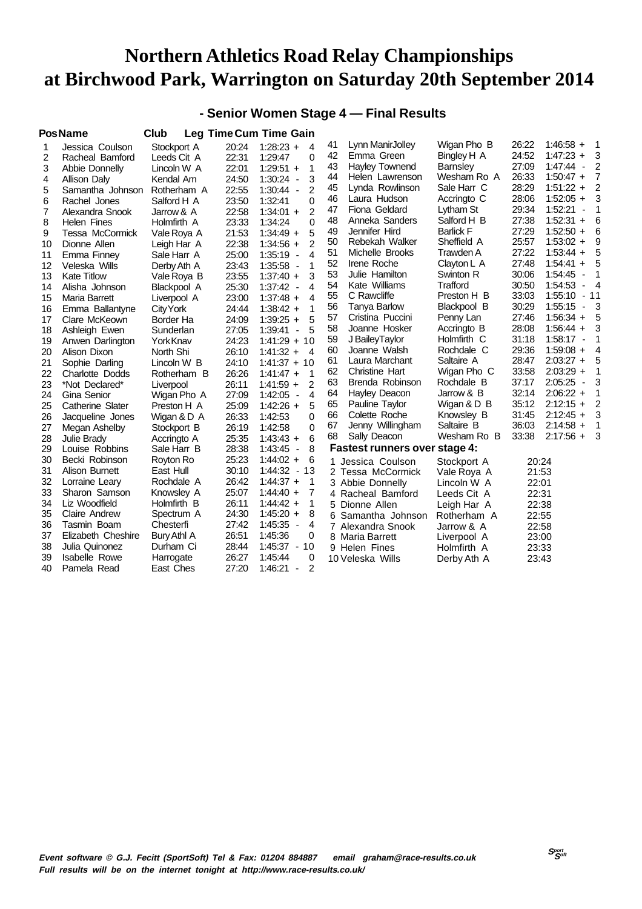#### **- Senior Women Stage 4 — Final Results**

|    | <b>PosName</b>         | Club        |       | <b>Leg Time Cum Time Gain</b>            |    |                                      |                  |       |                                     |                            |
|----|------------------------|-------------|-------|------------------------------------------|----|--------------------------------------|------------------|-------|-------------------------------------|----------------------------|
| 1  | Jessica Coulson        | Stockport A | 20:24 | $1:28:23 +$<br>4                         | 41 | Lynn ManirJolley                     | Wigan Pho B      | 26:22 | $1:46:58 +$                         | $\overline{\phantom{0}}$   |
| 2  | Racheal Bamford        | Leeds Cit A | 22:31 | 1:29:47<br>0                             | 42 | Emma Green                           | Bingley H A      | 24:52 | $1:47:23 +$                         | 3                          |
| 3  | Abbie Donnelly         | Lincoln W A | 22:01 | 1<br>$1:29:51 +$                         | 43 | <b>Hayley Townend</b>                | <b>Barnsley</b>  | 27:09 | $1:47:44 -$                         | 2                          |
| 4  | Allison Daly           | Kendal Am   | 24:50 | 3<br>1:30:24<br>$\overline{\phantom{a}}$ | 44 | Helen Lawrenson                      | Wesham Ro A      | 26:33 | $1:50:47 +$                         | 7                          |
| 5  | Samantha Johnson       | Rotherham A | 22:55 | 2<br>$1:30:44 -$                         | 45 | Lynda Rowlinson                      | Sale Harr C      | 28:29 | $1:51:22 +$                         | $\overline{2}$             |
| 6  | Rachel Jones           | Salford H A | 23:50 | $\Omega$<br>1:32:41                      | 46 | Laura Hudson                         | Accringto C      | 28:06 | $1:52:05 +$                         | 3                          |
| 7  | Alexandra Snook        | Jarrow & A  | 22:58 | $\overline{2}$<br>$1:34:01 +$            | 47 | Fiona Geldard                        | Lytham St        | 29:34 | 1:52:21<br>$\overline{\phantom{a}}$ | $\mathbf 1$                |
| 8  | <b>Helen Fines</b>     | Holmfirth A | 23:33 | 1:34:24<br>0                             | 48 | Anneka Sanders                       | Salford H B      | 27:38 | $1:52:31 +$                         | 6                          |
| 9  | Tessa McCormick        | Vale Roya A | 21:53 | 5<br>$1:34:49 +$                         | 49 | Jennifer Hird                        | <b>Barlick F</b> | 27:29 | $1:52:50 +$                         | 6                          |
| 10 | Dionne Allen           | Leigh Har A | 22:38 | $\overline{2}$<br>$1:34:56 +$            | 50 | Rebekah Walker                       | Sheffield A      | 25:57 | $1:53:02 +$                         | 9                          |
| 11 | Emma Finney            | Sale Harr A | 25:00 | $\overline{4}$<br>$1:35:19 -$            | 51 | Michelle Brooks                      | Trawden A        | 27:22 | $1:53:44 +$                         | 5                          |
| 12 | Veleska Wills          | Derby Ath A | 23:43 | $1:35:58 -$<br>1                         | 52 | Irene Roche                          | Clayton L A      | 27:48 | $1:54:41 +$                         | 5                          |
| 13 | <b>Kate Titlow</b>     | Vale Roya B | 23:55 | 3<br>$1:37:40 +$                         | 53 | Julie Hamilton                       | Swinton R        | 30:06 | $1:54:45 -$                         | 1                          |
| 14 | Alisha Johnson         | Blackpool A | 25:30 | $1:37:42 -$<br>4                         | 54 | Kate Williams                        | Trafford         | 30:50 | 1:54:53<br>$\overline{\phantom{a}}$ | 4                          |
| 15 | <b>Maria Barrett</b>   | Liverpool A | 23:00 | $1:37:48 +$<br>$\overline{4}$            | 55 | C Rawcliffe                          | Preston H B      | 33:03 | 1:55:10                             | - 11                       |
| 16 | Emma Ballantyne        | City York   | 24:44 | 1<br>$1:38:42 +$                         | 56 | Tanya Barlow                         | Blackpool B      | 30:29 | 1:55:15<br>$\sim$                   | $\overline{\phantom{a}}$ 3 |
| 17 | Clare McKeown          | Border Ha   | 24:09 | 5<br>$1:39:25 +$                         | 57 | Cristina Puccini                     | Penny Lan        | 27:46 | $1:56:34 +$                         | 5                          |
| 18 | Ashleigh Ewen          | Sunderlan   | 27:05 | 1:39:41<br>5<br>÷,                       | 58 | Joanne Hosker                        | Accringto B      | 28:08 | $1:56:44 +$                         | 3                          |
| 19 | Anwen Darlington       | YorkKnav    | 24:23 | $1:41:29 + 10$                           | 59 | J BaileyTaylor                       | Holmfirth C      | 31:18 | $1:58:17 -$                         | 1                          |
| 20 | Alison Dixon           | North Shi   | 26:10 | $1:41:32 +$<br>$\overline{4}$            | 60 | Joanne Walsh                         | Rochdale C       | 29:36 | $1:59:08 +$                         | 4                          |
| 21 | Sophie Darling         | Lincoln W B | 24:10 | $1:41:37 + 10$                           | 61 | Laura Marchant                       | Saltaire A       | 28:47 | $2:03:27 +$                         | 5                          |
| 22 | <b>Charlotte Dodds</b> | Rotherham B | 26:26 | $1:41:47 +$<br>1                         | 62 | <b>Christine Hart</b>                | Wigan Pho C      | 33:58 | $2:03:29 +$                         | 1                          |
| 23 | *Not Declared*         | Liverpool   | 26:11 | 2<br>$1:41:59 +$                         | 63 | Brenda Robinson                      | Rochdale B       | 37:17 | $2:05:25 -$                         | 3                          |
| 24 | Gina Senior            | Wigan Pho A | 27:09 | $1:42:05 -$<br>4                         | 64 | Hayley Deacon                        | Jarrow & B       | 32:14 | $2:06:22 +$                         | 1                          |
| 25 | Catherine Slater       | Preston H A | 25:09 | $1:42:26 +$<br>5                         | 65 | Pauline Taylor                       | Wigan & D B      | 35:12 | $2:12:15 +$                         | 2                          |
| 26 | Jacqueline Jones       | Wigan & D A | 26:33 | $\Omega$<br>1:42:53                      | 66 | Colette Roche                        | Knowsley B       | 31:45 | $2:12:45 +$                         | 3                          |
| 27 | Megan Ashelby          | Stockport B | 26:19 | 1:42:58<br>$\Omega$                      | 67 | Jenny Willingham                     | Saltaire B       | 36:03 | $2:14:58 +$                         | 1                          |
| 28 | Julie Brady            | Accringto A | 25:35 | 6<br>$1:43:43 +$                         | 68 | Sally Deacon                         | Wesham Ro B      | 33:38 | $2:17:56 +$                         | 3                          |
| 29 | Louise Robbins         | Sale Harr B | 28:38 | 8<br>$1:43:45 -$                         |    | <b>Fastest runners over stage 4:</b> |                  |       |                                     |                            |
| 30 | Becki Robinson         | Royton Ro   | 25:23 | $1:44:02 +$<br>6                         |    | 1 Jessica Coulson                    | Stockport A      | 20:24 |                                     |                            |
| 31 | Alison Burnett         | East Hull   | 30:10 | $1:44:32 - 13$                           |    | 2 Tessa McCormick                    | Vale Roya A      | 21:53 |                                     |                            |
| 32 | Lorraine Leary         | Rochdale A  | 26:42 | $1:44:37 +$<br>1                         |    | 3 Abbie Donnelly                     | Lincoln W A      | 22:01 |                                     |                            |
| 33 | Sharon Samson          | Knowsley A  | 25:07 | 7<br>$1:44:40 +$                         |    | 4 Racheal Bamford                    | Leeds Cit A      | 22:31 |                                     |                            |
| 34 | Liz Woodfield          | Holmfirth B | 26:11 | 1<br>$1:44:42 +$                         |    | 5 Dionne Allen                       | Leigh Har A      | 22:38 |                                     |                            |
| 35 | <b>Claire Andrew</b>   | Spectrum A  | 24:30 | $1:45:20 +$<br>8                         |    | 6 Samantha Johnson                   | Rotherham A      | 22:55 |                                     |                            |
| 36 | Tasmin Boam            | Chesterfi   | 27:42 | $1:45:35 -$<br>4                         |    | 7 Alexandra Snook                    | Jarrow & A       | 22:58 |                                     |                            |
| 37 | Elizabeth Cheshire     | Bury Athl A | 26:51 | 1:45:36<br>0                             |    | 8 Maria Barrett                      | Liverpool A      | 23:00 |                                     |                            |
| 38 | Julia Quinonez         | Durham Ci   | 28:44 | $1:45:37 - 10$                           |    | 9 Helen Fines                        | Holmfirth A      | 23:33 |                                     |                            |
| 39 | <b>Isabelle Rowe</b>   | Harrogate   | 26:27 | 0<br>1:45:44                             |    | 10 Veleska Wills                     | Derby Ath A      | 23:43 |                                     |                            |
| 40 | Pamela Read            | East Ches   | 27:20 | 2<br>1:46:21<br>$\blacksquare$           |    |                                      |                  |       |                                     |                            |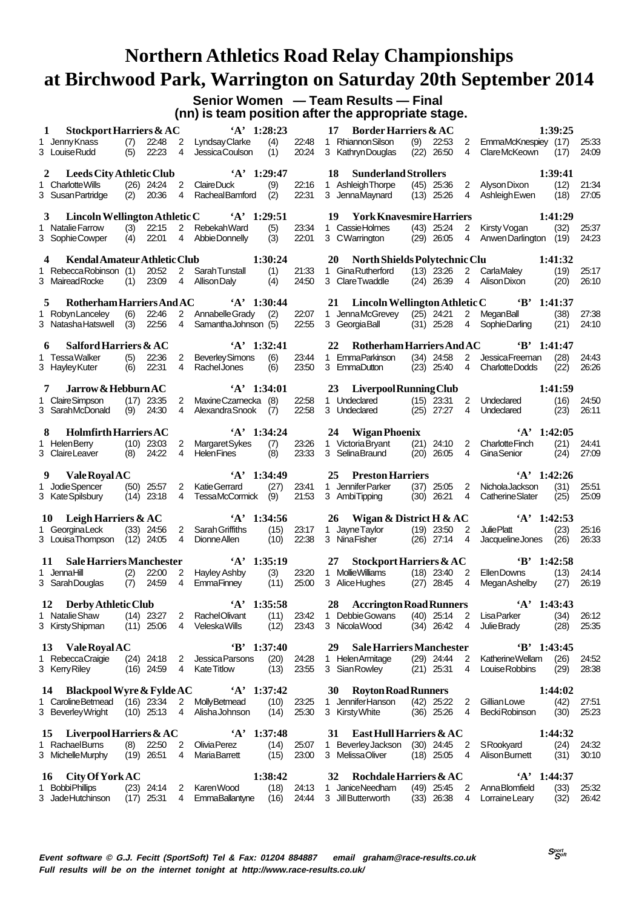#### **Senior Women — Team Results — Final (nn) is team position after the appropriate stage.**

| 1 | Stockport Harriers & AC<br>1 Jenny Knass<br>3 Louise Rudd                             | (7)<br>(5) | 22:48<br>22:23                 | 2<br>4              | $'A'$ 1:28:23<br>Lyndsay Clarke<br>Jessica Coulson                          | (4)<br>(1)            | 22:48<br>20:24        | 17<br><b>Border Harriers &amp; AC</b><br>1 Rhiannon Silson<br>3 Kathryn Douglas   | (9)<br>22:53<br>$(22)$ 26:50   | 2<br>4                           | EmmaMcKnespiey (17)<br>ClareMcKeown (17)                   | 1:39:25                 | 25:33<br>24:09 |
|---|---------------------------------------------------------------------------------------|------------|--------------------------------|---------------------|-----------------------------------------------------------------------------|-----------------------|-----------------------|-----------------------------------------------------------------------------------|--------------------------------|----------------------------------|------------------------------------------------------------|-------------------------|----------------|
| 2 | Leeds City Athletic Club<br>1 Charlotte Wills<br>3 Susan Partridge                    |            | $(26)$ 24:24 2<br>$(2)$ 20:36  | 4                   | $'A'$ 1:29:47<br>Claire Duck<br>RachealBamford (2)                          | (9)                   | 22:16<br>22:31        | 18<br><b>Sunderland Strollers</b><br>1 Ashleigh Thorpe<br>3 JennaMaynard          | $(45)$ 25:36<br>$(13)$ 25:26   | $\overline{4}$                   | 2 Alyson Dixon<br>Ashleigh Ewen                            | 1:39:41<br>(12)<br>(18) | 21:34<br>27:05 |
|   | 3<br>1 Natalie Farrow<br>3 SophieCowper                                               | (3)<br>(4) | 22:15<br>22:01                 | $\mathbf{2}$<br>4   | Lincoln Wellington Athletic C 'A' 1:29:51<br>Rebekah Ward<br>Abbie Donnelly | (5)<br>(3)            | 23:34<br>22:01        | 19<br><b>York Knavesmire Harriers</b><br>1 CassieHolmes<br>3 CWarrington          | $(43)$ 25:24<br>$(29)$ 26:05   | $\overline{2}$<br>4              | Kirsty Vogan<br>AnwenDarlington (19)                       | 1:41:29<br>(32)         | 25:37<br>24:23 |
|   | <b>Kendal Amateur Athletic Club</b><br>4<br>1 Rebecca Robinson (1)<br>3 Mairead Rocke | (1)        | 20:52<br>23:09                 | 2<br>$\overline{4}$ | Sarah Tunstall<br>Allison Daly                                              | 1:30:24<br>(1)<br>(4) | 21:33<br>24:50        | 20<br>North Shields Polytechnic Clu<br>1 Gina Rutherford<br>3 ClareTwaddle        | $(13)$ 23:26<br>$(24)$ 26:39   | 2<br>4                           | CarlaMaley<br>Alison Dixon                                 | 1:41:32<br>(19)<br>(20) | 25:17<br>26:10 |
| 5 | Rotherham Harriers And AC<br>1 Robyn Lanceley<br>3 Natasha Hatswell (3)               | (6)        | 22:46<br>22:56                 | 4                   | $A'$ 1:30:44<br>2 Annabelle Grady (2)<br>Samantha Johnson (5)               |                       | 22:07<br>22:55        | 21 Lincoln Wellington Athletic C 'B' 1:41:37<br>1 JennaMcGrevey<br>3 Georgia Ball | $(25)$ 24:21<br>$(31)$ 25:28   | $\overline{2}$<br>$\overline{4}$ | MeganBall<br>SophieDarling                                 | (38)<br>(21)            | 27:38<br>24:10 |
|   | Salford Harriers & AC<br>6<br>1 TessaWalker<br>3 Hayley Kuter                         | (5)<br>(6) | 22:36<br>22:31                 | $\overline{2}$<br>4 | $A'$ 1:32:41<br><b>Beverley Simons</b><br><b>Rachel Jones</b>               | (6)<br>(6)            | 23:44<br>23:50        | 22<br>Rotherham Harriers And AC<br>1 EmmaParkinson<br>3 EmmaDutton                | $(34)$ 24:58<br>$(23)$ $25:40$ | $\overline{2}$<br>4              | $B'$ 1:41:47<br>Jessica Freeman<br>Charlotte Dodds         | (28)<br>(22)            | 24:43<br>26:26 |
|   | Jarrow & Hebburn AC<br>1 Claire Simpson<br>3 SarahMcDonald                            |            | $(17)$ 23:35<br>$(9)$ 24:30    | 2<br>4              | $'A'$ 1:34:01<br>MaxineCzarnecka (8)<br>Alexandra Snook                     | (7)                   | 22:58<br>22:58        | 23<br>Liverpool Running Club<br>1 Undeclared<br>3 Undeclared                      | $(15)$ 23:31<br>$(25)$ 27:27   | 4                                | 2 Undeclared<br>Undeclared                                 | 1:41:59<br>(16)<br>(23) | 24:50<br>26:11 |
|   | <b>Holmfirth Harriers AC</b><br>1 Helen Berry<br>3 Claire Leaver                      |            | $(10)$ 23:03<br>$(8)$ 24:22    | 2<br>4              | $'A'$ 1:34:24<br>Margaret Sykes<br><b>Helen Fines</b>                       | (7)<br>(8)            | 23:26<br>23:33        | Wigan Phoenix<br>24<br>1 Victoria Bryant<br>3 SelinaBraund                        | $(21)$ 24:10<br>$(20)$ 26:05   | $\overline{2}$<br>4              | $'A'$ 1:42:05<br><b>Charlotte Finch</b><br>GinaSenior      | (21)<br>(24)            | 24:41<br>27:09 |
|   |                                                                                       |            |                                |                     |                                                                             |                       |                       |                                                                                   |                                |                                  |                                                            |                         |                |
|   | <b>Vale Royal AC</b><br>9.<br>1 Jodie Spencer<br>3 Kate Spilsbury                     |            | $(50)$ 25:57<br>$(14)$ 23:18   | 2<br>4              | $A'$ 1:34:49<br><b>Katie Gerrard</b><br>TessaMcCormick                      | (27)<br>(9)           | 23:41<br>21:53        | 25<br><b>Preston Harriers</b><br>1 Jennifer Parker<br>3 AmbiTipping               | $(37)$ 25:05<br>$(30)$ 26:21   | 2<br>4                           | $A'$ 1:42:26<br>NicholaJackson<br>Catherine Slater         | (31)<br>(25)            | 25:51<br>25:09 |
|   | Leigh Harriers & AC<br>10<br>1 GeorginaLeck<br>3 Louisa Thompson (12) 24:05           |            | $(33)$ 24:56                   | 2<br>4              | $A'$ 1:34:56<br>Sarah Griffiths<br>Dionne Allen                             | (15)<br>(10)          | 23:17<br>22:38        | 26<br>Wigan & District H & $AC$<br>1 Jayne Taylor<br>3 NinaFisher                 | $(19)$ 23:50<br>$(26)$ 27:14   | 2<br>4                           | $A'$ 1:42:53<br><b>JuliePlatt</b><br>Jacqueline Jones (26) | (23)                    | 25:16<br>26:33 |
|   | <b>Sale Harriers Manchester</b><br>11<br>1 JennaHill<br>3 Sarah Douglas               | (2)<br>(7) | 22:00<br>24:59                 | 2<br>4              | $A'$ 1:35:19<br><b>Hayley Ashby</b><br>EmmaFinney                           | (3)<br>(11)           | 23:20<br>25:00        | <b>Stockport Harriers &amp; AC</b><br>27<br>1 Mollie Williams<br>3 Alice Hughes   | $(18)$ 23:40<br>$(27)$ 28:45   | 2<br>-4                          | $B'$ 1:42:58<br>Ellen Downs<br>Megan Ashelby               | (13)<br>(27)            | 24:14<br>26:19 |
|   | 12 Derby Athletic Club<br>1 Natalie Shaw<br>3 Kirsty Shipman                          |            | $(14)$ 23:27<br>$(11)$ 25:06   | 2<br>4              | $'A'$ 1:35:58<br>RachelOlivant<br>VeleskaWills                              | (11)                  | 23:42<br>$(12)$ 23:43 | 28 Accrington Road Runners<br>1 Debbie Gowans<br>3 Nicola Wood                    | $(40)$ 25:14 2<br>$(34)$ 26:42 | $\overline{4}$                   | $'A'$ 1:43:43<br><b>LisaParker</b><br>Julie Brady          | (34)<br>(28)            | 26:12<br>25:35 |
|   | 13 Vale Royal AC<br>1 Rebecca Craigie<br>3 Kerry Riley                                |            | $(24)$ 24:18<br>$(16)$ 24:59   | $\overline{2}$      | $B'$ 1:37:40<br>Jessica Parsons<br>4 Kate Titlow                            | (20)<br>(13)          | 24:28<br>23:55        | 29<br><b>Sale Harriers Manchester</b><br>1 Helen Armitage<br>3 Sian Rowley        | $(29)$ 24:44<br>$(21)$ 25:31   | $\overline{2}$<br>-4             | $B'$ 1:43:45<br>Katherine Wellam<br>Louise Robbins         | (26)<br>(29)            | 24:52<br>28:38 |
|   | 14 Blackpool Wyre & Fylde AC<br>1 Caroline Betmead<br>3 Beverley Wright               |            | $(16)$ 23:34<br>$(10)$ 25:13 4 |                     | $A'$ 1:37:42<br>2 MollyBetmead<br>AlishaJohnson                             | (10)<br>(14)          | 23:25<br>25:30        | 30 Royton Road Runners<br>1 Jennifer Hanson<br>3 Kirsty White                     | $(42)$ 25:22<br>$(36)$ 25:26   | $\overline{2}$<br>-4             | Gillian Lowe<br>Becki Robinson                             | 1:44:02<br>(42)<br>(30) | 27:51<br>25:23 |
|   | Liverpool Harriers $&AC$<br>15<br>1 Rachael Burns<br>3 Michelle Murphy                | (8)        | 22:50<br>$(19)$ 26:51          | 2<br>4              | $'A'$ 1:37:48<br>Olivia Perez<br>MariaBarrett                               | (14)<br>(15)          | 25:07<br>23:00        | East Hull Harriers & AC<br>31<br>1 Beverley Jackson<br>3 MelissaOliver            | $(30)$ 24:45<br>$(18)$ 25:05 4 | $\overline{2}$                   | SRookyard<br>Alison Burnett                                | 1:44:32<br>(24)<br>(31) | 24:32<br>30:10 |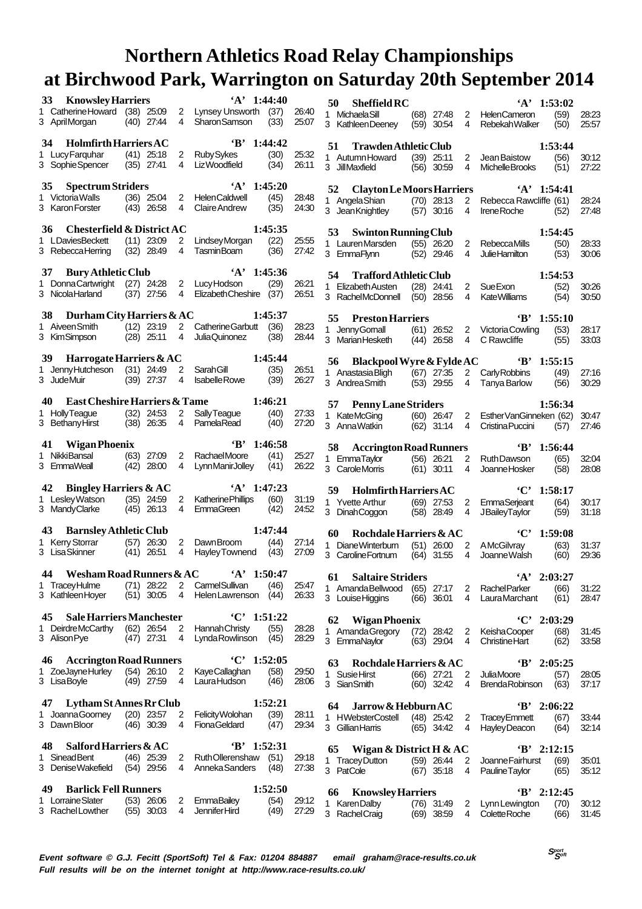| 33<br><b>Knowsley Harriers</b>                         |                                                     | $A'$ 1:44:40                                                     |                | 50<br><b>Sheffield RC</b>                                                  |                          | $'A'$ 1:53:02                                               |                |
|--------------------------------------------------------|-----------------------------------------------------|------------------------------------------------------------------|----------------|----------------------------------------------------------------------------|--------------------------|-------------------------------------------------------------|----------------|
| 1 Catherine Howard (38) 25:09<br>3 AprilMorgan         | $(40)$ 27:44<br>4                                   | 2 Lynsey Unsworth (37)<br>Sharon Samson<br>(33)                  | 26:40<br>25:07 | 1 MichaelaSill<br>$(68)$ 27:48<br>3 KathleenDeenev<br>$(59)$ 30:54         | 2<br>4                   | <b>HelenCameron</b><br>(59)<br>(50)<br>Rebekah Walker       | 28:23<br>25:57 |
| <b>Holmfirth Harriers AC</b><br>34                     |                                                     | $B'$ 1:44:42                                                     |                | <b>Trawden Athletic Club</b><br>51                                         |                          | 1:53:44                                                     |                |
| 1 Lucy Farguhar                                        | $(41)$ 25:18<br>$\mathbf{2}$                        | <b>Ruby Sykes</b><br>(30)                                        | 25:32          | 1 Autumn Howard<br>$(39)$ 25:11                                            | 2                        | (56)<br>Jean Baistow                                        | 30:12          |
| 3 Sophie Spencer                                       | $(35)$ 27:41<br>4                                   | Liz Woodfield<br>(34)                                            | 26:11          | 3 JillMaxfield<br>$(56)$ 30:59                                             | 4                        | Michelle Brooks<br>(51)                                     | 27:22          |
|                                                        |                                                     | $'A'$ 1:45:20                                                    |                |                                                                            |                          |                                                             |                |
| <b>Spectrum Striders</b><br>35<br>1 Victoria Walls     | $(36)$ 25:04<br>$\overline{2}$                      | (45)<br><b>HelenCaldwell</b>                                     | 28:48          | 52 Clayton Le Moors Harriers                                               |                          | $'A'$ 1:54:41                                               |                |
| 3 Karon Forster                                        | $(43)$ 26:58<br>4                                   | (35)<br>Claire Andrew                                            | 24:30          | 1 Angela Shian<br>$(70)$ 28:13                                             | 2                        | Rebecca Rawcliffe (61)                                      | 28:24          |
|                                                        |                                                     |                                                                  |                | 3 Jean Knightley<br>$(57)$ 30:16                                           | 4                        | (52)<br>Irene Roche                                         | 27:48          |
| 36                                                     | Chesterfield & District AC                          | 1:45:35                                                          |                | 53<br><b>Swinton Running Club</b>                                          |                          | 1:54:45                                                     |                |
| 1 LDaviesBeckett                                       | $(11)$ 23:09<br>2                                   | Lindsey Morgan<br>(22)                                           | 25:55          | $(55)$ 26:20<br>1 Lauren Marsden                                           | 2                        | <b>RebeccaMills</b><br>(50)                                 | 28:33          |
| 3 Rebecca Herring                                      | $(32)$ 28:49<br>4                                   | <b>TasminBoam</b><br>(36)                                        | 27:42          | 3 EmmaFlynn<br>$(52)$ 29:46                                                | $\overline{4}$           | <b>Julie Hamilton</b><br>(53)                               | 30:06          |
| <b>Bury Athletic Club</b><br>37                        |                                                     | $'A'$ 1:45:36                                                    |                | 54                                                                         |                          | 1:54:53                                                     |                |
| 1 Donna Cartwright (27) 24:28                          | 2                                                   | (29)<br>Lucy Hodson                                              | 26:21          | <b>Trafford Athletic Club</b><br>1 Elizabeth Austen<br>$(28)$ 24:41        | $2^{\circ}$              | (52)<br>SueExon                                             | 30:26          |
| 3 Nicola Harland                                       | $(37)$ 27:56<br>4                                   | Elizabeth Cheshire (37)                                          | 26:51          | 3 RachelMcDonnell<br>$(50)$ 28:56                                          | 4                        | <b>Kate Williams</b><br>(54)                                | 30:50          |
|                                                        |                                                     |                                                                  |                |                                                                            |                          |                                                             |                |
| 38                                                     | Durham City Harriers & AC<br>$(12)$ 23:19           | 1:45:37                                                          |                | 55 Preston Harriers                                                        |                          | $\mathbf{B'}$ 1:55:10                                       |                |
| 1 Aiveen Smith<br>3 KimSimpson                         | $2^{\circ}$<br>$(28)$ 25:11<br>4                    | (36)<br><b>Catherine Garbutt</b><br>(38)<br><b>JuliaQuinonez</b> | 28:23<br>28:44 | 1 Jenny Gornall<br>$(61)$ 26:52 2                                          |                          | (53)<br>Victoria Cowling                                    | 28:17          |
|                                                        |                                                     |                                                                  |                | 3 Marian Hesketh<br>(44)<br>26:58                                          | 4                        | C Rawcliffe<br>(55)                                         | 33:03          |
| 39                                                     | Harrogate Harriers $&AC$                            | 1:45:44                                                          |                | Blackpool Wyre & Fylde AC<br>56                                            |                          | $B'$ 1:55:15                                                |                |
| 1 Jenny Hutcheson (31) 24:49 2                         |                                                     | SarahGill<br>(35)                                                | 26:51          | 1 Anastasia Bligh<br>$(67)$ 27:35                                          | 2                        | Carly Robbins<br>(49)                                       | 27:16          |
| 3 JudeMuir                                             | $(39)$ 27:37<br>4                                   | <b>Isabelle Rowe</b><br>(39)                                     | 26:27          | 3 Andrea Smith<br>$(53)$ 29:55                                             | 4                        | Tanya Barlow<br>(56)                                        | 30:29          |
| 40                                                     | <b>East Cheshire Harriers &amp; Tame</b>            | 1:46:21                                                          |                |                                                                            |                          |                                                             |                |
| 1 Holly Teague                                         | $(32)$ 24:53<br>2                                   | (40)<br><b>Sally Teaque</b>                                      | 27:33          | <b>Penny Lane Striders</b><br>57                                           |                          | 1:56:34                                                     |                |
| 3 Bethany Hirst                                        | $(38)$ 26:35<br>4                                   | PamelaRead<br>(40)                                               | 27:20          | 1 KateMcGing<br>$(60)$ 26:47<br>3 AnnaWatkin<br>$(62)$ 31:14               | $2^{\circ}$<br>4         | EstherVanGinneken (62)<br>Cristina Puccini<br>(57)          | 30:47<br>27:46 |
|                                                        |                                                     |                                                                  |                |                                                                            |                          |                                                             |                |
| Wigan Phoenix<br>41                                    |                                                     | $B'$ 1:46:58                                                     |                | <b>Accrington Road Runners</b><br>58.                                      |                          | $B'$ 1:56:44                                                |                |
| 1 NikkiBansal<br>3 EmmaWeall                           | $(63)$ 27:09<br>2<br>$(42)$ 28:00<br>4              | RachaelMoore<br>(41)<br>Lynn ManirJolley<br>(41)                 | 25:27<br>26:22 | 1 EmmaTaylor<br>$(56)$ 26:21                                               | 2                        | Ruth Dawson<br>(65)                                         | 32:04          |
|                                                        |                                                     |                                                                  |                | 3 CaroleMorris<br>$(61)$ 30:11                                             | 4                        | Joanne Hosker<br>(58)                                       | 28:08          |
| Bingley Harriers $&AC$<br>42                           |                                                     | $'A'$ 1:47:23                                                    |                | <b>Holmfirth Harriers AC</b><br>59                                         |                          | $°C'$ 1:58:17                                               |                |
| 1 Lesley Watson                                        | $(35)$ 24:59<br>2                                   | <b>Katherine Phillips</b><br>(60)                                | 31:19          | 1 Yvette Arthur<br>$(69)$ 27:53                                            | 2                        | (64)<br>EmmaSerjeant                                        | 30:17          |
| 3 Mandy Clarke                                         | $(45)$ 26:13<br>4                                   | <b>EmmaGreen</b><br>(42)                                         | 24:52          | 3 Dinah Coggon<br>$(58)$ 28:49                                             | $\overline{4}$           | <b>JBaileyTaylor</b><br>(59)                                | 31:18          |
| <b>Barnsley Athletic Club</b><br>43                    |                                                     | 1:47:44                                                          |                |                                                                            |                          |                                                             |                |
| 1 Kerry Storrar                                        | $(57)$ 26:30<br>2                                   | Dawn Broom<br>(44)                                               | 27:14          | Rochdale Harriers & AC<br>60                                               |                          | $°C'$ 1:59:08                                               |                |
| 3 Lisa Skinner                                         | $(41)$ 26:51<br>4                                   | Hayley Townend (43)                                              | 27:09          | 1 Diane Winterburn<br>$(51)$ 26:00 2<br>3 Caroline Fortnum<br>$(64)$ 31:55 | 4                        | (63)<br>AMcGilvray<br>Joanne Walsh<br>(60)                  | 31:37<br>29:36 |
|                                                        |                                                     |                                                                  |                |                                                                            |                          |                                                             |                |
| 44                                                     | Wesham Road Runners & AC                            | $'A'$ 1:50:47                                                    |                | 61 Saltaire Striders                                                       |                          | $'A'$ 2:03:27                                               |                |
| 1 Tracey Hulme                                         | $(71)$ 28:22<br>2                                   | CarmelSullivan<br>(46)                                           | 25:47          | 1 Amanda Bellwood (65) 27:17                                               | 2                        | <b>RachelParker</b><br>(66)                                 | 31:22          |
| 3 Kathleen Hoyer                                       | $(51)$ 30:05<br>4                                   | Helen Lawrenson (44)                                             | 26:33          | 3 Louise Higgins<br>$(66)$ 36:01                                           | 4                        | LauraMarchant<br>(61)                                       | 28:47          |
| 45                                                     | <b>Sale Harriers Manchester</b>                     | $^{\circ}$ C' 1:51:22                                            |                | 62 Wigan Phoenix                                                           |                          | $°C'$ 2:03:29                                               |                |
| 1 DeirdreMcCarthy                                      | $(62)$ 26:54 2                                      | (55)<br>Hannah Christy                                           | 28:28          | 1 Amanda Gregory<br>$(72)$ 28:42                                           | $\overline{\phantom{a}}$ | (68)<br><b>KeishaCooper</b>                                 | 31:45          |
| 3 Alison Pye                                           | $(47)$ 27:31<br>-4                                  | Lynda Rowlinson<br>(45)                                          | 28:29          | 3 EmmaNaylor<br>$(63)$ 29:04                                               | -4                       | (62)<br><b>Christine Hart</b>                               | 33:58          |
|                                                        |                                                     | $°C'$ 1:52:05                                                    |                |                                                                            |                          |                                                             |                |
| 46<br>1 ZoeJayneHurley                                 | <b>Accrington Road Runners</b><br>$(54)$ 26:10<br>2 | KayeCallaghan<br>(58)                                            | 29:50          | Rochdale Harriers $&AC$<br>63                                              |                          | $B'$ 2:05:25                                                |                |
| 3 LisaBoyle                                            | $(49)$ 27:59<br>-4                                  | LauraHudson<br>(46)                                              | 28:06          | 1 SusieHirst<br>$(66)$ 27:21<br>3 SianSmith<br>$(60)$ 32:42                | 2<br>$\overline{4}$      | <b>JuliaMoore</b><br>(57)<br>(63)<br><b>Brenda Robinson</b> | 28:05<br>37:17 |
|                                                        |                                                     |                                                                  |                |                                                                            |                          |                                                             |                |
| 47                                                     | Lytham St Annes Rr Club                             | 1:52:21                                                          |                | Jarrow & Hebburn AC<br>64                                                  |                          | $B'$ 2:06:22                                                |                |
| 1 Joanna Goorney                                       | $(20)$ 23:57<br>2                                   | Felicity Wolohan<br>(39)                                         | 28:11          | 1 HWebsterCostell<br>$(48)$ 25:42                                          | 2                        | (67)<br><b>Tracey</b> Emmett                                | 33:44          |
| 3 Dawn Bloor                                           | $(46)$ 30:39<br>4                                   | (47)<br><b>FionaGeldard</b>                                      | 29:34          | 3 Gillian Harris<br>$(65)$ 34:42                                           | 4                        | <b>Hayley Deacon</b><br>(64)                                | 32:14          |
| Salford Harriers & AC<br>48                            |                                                     | $B'$ 1:52:31                                                     |                |                                                                            |                          | $B'$ 2:12:15                                                |                |
| 1 Sinead Bent                                          | $(46)$ 25:39<br>2                                   | RuthOllerenshaw (51)                                             | 29:18          | 65 Wigan & District H & AC<br>1 Tracey Dutton<br>$(59)$ 26:44              | 2                        | Joanne Fairhurst<br>(69)                                    | 35:01          |
| 3 Denise Wakefield                                     | $(54)$ 29:56<br>4                                   | Anneka Sanders<br>(48)                                           | 27:38          | 3 PatCole<br>$(67)$ 35:18                                                  | 4                        | Pauline Taylor<br>(65)                                      | 35:12          |
|                                                        |                                                     |                                                                  |                |                                                                            |                          |                                                             |                |
| <b>Barlick Fell Runners</b><br>49<br>1 Lorraine Slater |                                                     | 1:52:50<br><b>EmmaBailey</b>                                     |                | <b>Knowsley Harriers</b><br>66                                             |                          | $B'$ 2:12:45                                                |                |
| 3 Rachel Lowther                                       | $(53)$ 26:06<br>2<br>$(55)$ 30:03<br>4              | (54)<br>Jennifer Hird<br>(49)                                    | 29:12<br>27:29 | 1 Karen Dalby<br>$(76)$ 31:49<br>3 RachelCraig<br>$(69)$ 38:59 4           | $\overline{2}$           | (70)<br>Lynn Lewington<br>Colette Roche<br>(66)             | 30:12<br>31:45 |
|                                                        |                                                     |                                                                  |                |                                                                            |                          |                                                             |                |